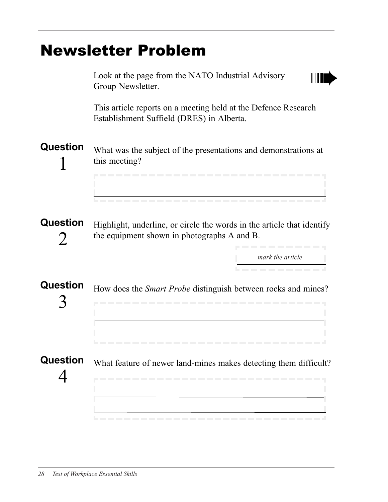## Newsletter Problem

| Look at the page from the NATO Industrial Advisory<br>Group Newsletter.                                                                             |
|-----------------------------------------------------------------------------------------------------------------------------------------------------|
| This article reports on a meeting held at the Defence Research<br>Establishment Suffield (DRES) in Alberta.                                         |
| What was the subject of the presentations and demonstrations at<br>this meeting?                                                                    |
| Highlight, underline, or circle the words in the article that identify<br>the equipment shown in photographs A and B.<br>------<br>mark the article |
| How does the Smart Probe distinguish between rocks and mines?<br>.                                                                                  |
| What feature of newer land-mines makes detecting them difficult?<br>--------------------------------------                                          |
|                                                                                                                                                     |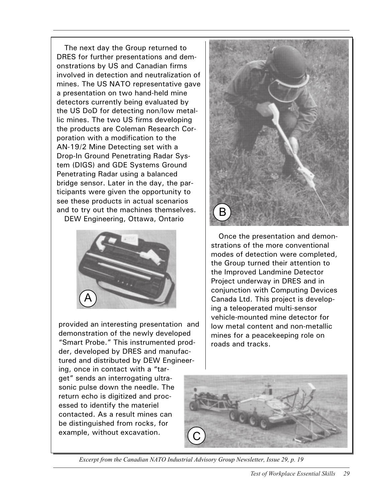The next day the Group returned to DRES for further presentations and demonstrations by US and Canadian firms involved in detection and neutralization of mines. The US NATO representative gave a presentation on two hand-held mine detectors currently being evaluated by the US DoD for detecting non/low metallic mines. The two US firms developing the products are Coleman Research Corporation with a modification to the AN-19/2 Mine Detecting set with a Drop-In Ground Penetrating Radar System (DIGS) and GDE Systems Ground Penetrating Radar using a balanced bridge sensor. Later in the day, the participants were given the opportunity to see these products in actual scenarios and to try out the machines themselves. DEW Engineering, Ottawa, Ontario



provided an interesting presentation and demonstration of the newly developed "Smart Probe." This instrumented prodder, developed by DRES and manufactured and distributed by DEW Engineering, once in contact with a "target" sends an interrogating ultrasonic pulse down the needle. The return echo is digitized and processed to identify the materiel contacted. As a result mines can be distinguished from rocks, for example, without excavation.



Once the presentation and demonstrations of the more conventional modes of detection were completed, the Group turned their attention to the Improved Landmine Detector Project underway in DRES and in conjunction with Computing Devices Canada Ltd. This project is developing a teleoperated multi-sensor vehicle-mounted mine detector for low metal content and non-metallic mines for a peacekeeping role on roads and tracks.



Excerpt from the Canadian NATO Industrial Advisory Group Newsletter, Issue 29, p. 19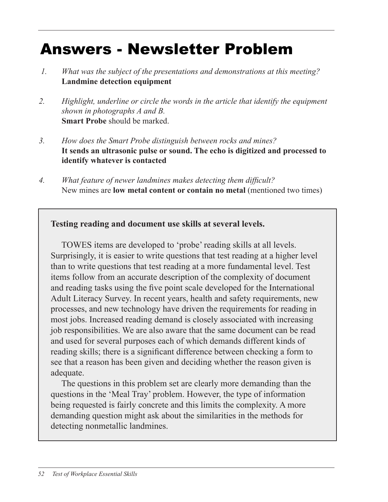## Answers - Newsletter Problem

- 1. What was the subject of the presentations and demonstrations at this meeting?  *1. What was the subject of the presentations and demonstrations at this meeting?* Landmine detection equipment **Landmine detection equipment**
- 2. Highlight, underline, or circle the words in the article that identify the equipment *2. Highlight, underline or circle the words in the article that identify the equipment*  shown in photographs A and B. **Smart Probe** should be marked. *shown in photographs A and B.*
- 3. How does the Smart Probe distinguish between rocks and mines? It sends an ultrasonic pulse or sound. The echo is digitized and processed to **It sends an ultrasonic pulse or sound. The echo is digitized and processed to**  identify whatever is contacted **identify whatever is contacted** *3. How does the Smart Probe distinguish between rocks and mines?*
- 4. What feature of newer tanamines makes acteeing them difficult. New mines are low metal content or contain no metal (mentioned two times) New mines are **low metal content or contain no metal** (mentioned two times) *4. What feature of newer landmines makes detecting them difficult?*

## Testing reading and document use skills at several levels. **Testing reading and document use skills at several levels.**

TOWES items are developed to 'probe' reading skills at all levels. TOWES items are developed to 'probe' reading skills at all levels. Surprisingly, it is easier to write questions that test reading at a higher level than to write questions that test reading at a more fundamental level. Test items follow from an accurate description of the complexity of document and reading tasks using the five point scale developed for the International Adult Literacy Survey. In recent years, health and safety requirements, new processes, and new technology have driven the requirements for reading in most jobs. Increased reading demand is closely associated with increasing job responsibilities. We are also aware that the same document can be read and used for several purposes each of which demands different kinds of reading skills; there is a significant difference between checking a form to see that a reason has been given and deciding whether the reason given is adequate. The reason given is a set of the reason of the reason of the reason of the reason of the reason of the reason of the reason of the reason of the reason of the reason of the reason of the reason of the reason of t

The questions in this problem set are clearly more demanding than the The questions in this problem set are clearly more demanding than the questions in the 'Meal Tray' problem. However, the type of information being requested is fairly concrete and this limits the complexity. A more being requested is fairly concrete and this limits the complexity. A more demanding question might ask about the similarities in the methods for detecting nonmetallic landmines.